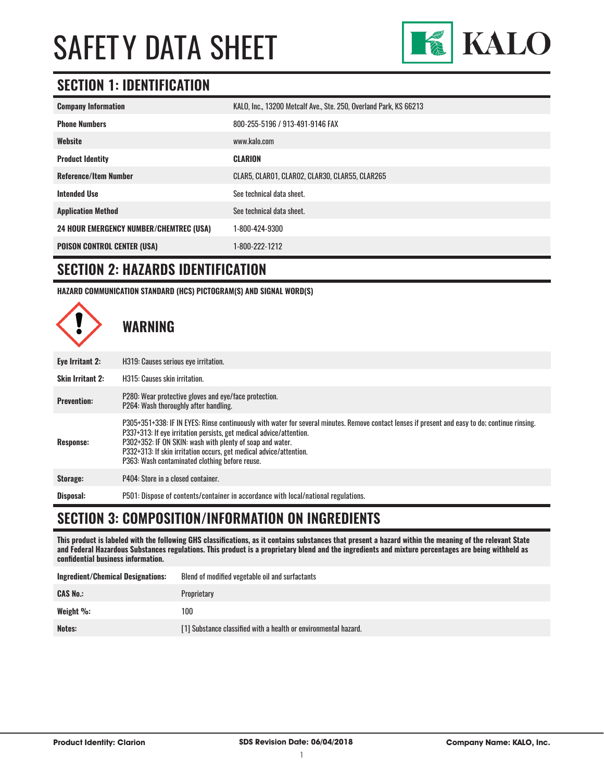

# **SECTION 1: IDENTIFICATION**

| <b>Company Information</b>                     | KALO, Inc., 13200 Metcalf Ave., Ste. 250, Overland Park, KS 66213 |
|------------------------------------------------|-------------------------------------------------------------------|
| <b>Phone Numbers</b>                           | 800-255-5196 / 913-491-9146 FAX                                   |
| Website                                        | www.kalo.com                                                      |
| <b>Product Identity</b>                        | <b>CLARION</b>                                                    |
| <b>Reference/Item Number</b>                   | CLAR5, CLAR01, CLAR02, CLAR30, CLAR55, CLAR265                    |
| <b>Intended Use</b>                            | See technical data sheet.                                         |
| <b>Application Method</b>                      | See technical data sheet.                                         |
| <b>24 HOUR EMERGENCY NUMBER/CHEMTREC (USA)</b> | 1-800-424-9300                                                    |
| <b>POISON CONTROL CENTER (USA)</b>             | 1-800-222-1212                                                    |

### **SECTION 2: HAZARDS IDENTIFICATION**

**HAZARD COMMUNICATION STANDARD (HCS) PICTOGRAM(S) AND SIGNAL WORD(S)**



### **SECTION 3: COMPOSITION/INFORMATION ON INGREDIENTS**

**This product is labeled with the following GHS classifications, as it contains substances that present a hazard within the meaning of the relevant State and Federal Hazardous Substances regulations. This product is a proprietary blend and the ingredients and mixture percentages are being withheld as confidential business information.**

| <b>Ingredient/Chemical Designations:</b> | Blend of modified vegetable oil and surfactants                 |
|------------------------------------------|-----------------------------------------------------------------|
| <b>CAS No.:</b>                          | Proprietary                                                     |
| Weight $\%$ :                            | 100                                                             |
| Notes:                                   | [1] Substance classified with a health or environmental hazard. |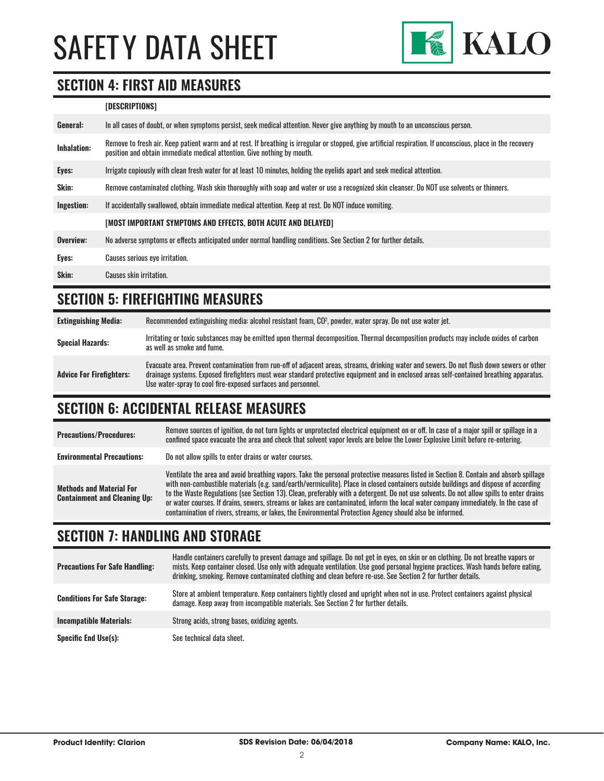

### **SECTION 4: FIRST AID MEASURES**

#### **[DESCRIPTIONS]**

| General:    | In all cases of doubt, or when symptoms persist, seek medical attention. Never give anything by mouth to an unconscious person.                                                                                                         |
|-------------|-----------------------------------------------------------------------------------------------------------------------------------------------------------------------------------------------------------------------------------------|
| Inhalation: | Remove to fresh air. Keep patient warm and at rest. If breathing is irregular or stopped, give artificial respiration. If unconscious, place in the recovery<br>position and obtain immediate medical attention. Give nothing by mouth. |
| Eyes:       | Irrigate copiously with clean fresh water for at least 10 minutes, holding the eyelids apart and seek medical attention.                                                                                                                |
| Skin:       | Remove contaminated clothing. Wash skin thoroughly with soap and water or use a recognized skin cleanser. Do NOT use solvents or thinners.                                                                                              |
| Ingestion:  | If accidentally swallowed, obtain immediate medical attention. Keep at rest. Do NOT induce vomiting.                                                                                                                                    |
|             | [MOST IMPORTANT SYMPTOMS AND EFFECTS, BOTH ACUTE AND DELAYED]                                                                                                                                                                           |
| Overview:   | No adverse symptoms or effects anticipated under normal handling conditions. See Section 2 for further details.                                                                                                                         |
| Eyes:       | Causes serious eye irritation.                                                                                                                                                                                                          |
| Skin:       | Causes skin irritation.                                                                                                                                                                                                                 |
|             |                                                                                                                                                                                                                                         |

# **SECTION 5: FIREFIGHTING MEASURES**

**Extinguishing Media:** Recommended extinguishing media: alcohol resistant foam, CO2 , powder, water spray. Do not use water jet. **Special Hazards:** Irritating or toxic substances may be emitted upon thermal decomposition. Thermal decomposition products may include oxides of carbon **Special Hazards:** as well as smoke and fume. **Advice For Firefighters:** Evacuate area. Prevent contamination from run-off of adjacent areas, streams, drinking water and sewers. Do not flush down sewers or other drainage systems. Exposed firefighters must wear standard protective equipment and in enclosed areas self-contained breathing apparatus. Use water-spray to cool fire-exposed surfaces and personnel.

# **SECTION 6: ACCIDENTAL RELEASE MEASURES**

| <b>Precautions/Procedures:</b>                                         | Remove sources of ignition, do not turn lights or unprotected electrical equipment on or off. In case of a major spill or spillage in a<br>confined space evacuate the area and check that solvent vapor levels are below the Lower Explosive Limit before re-entering.                                                                                                                                                                                                                                                                                                                                                                                                   |
|------------------------------------------------------------------------|---------------------------------------------------------------------------------------------------------------------------------------------------------------------------------------------------------------------------------------------------------------------------------------------------------------------------------------------------------------------------------------------------------------------------------------------------------------------------------------------------------------------------------------------------------------------------------------------------------------------------------------------------------------------------|
| <b>Environmental Precautions:</b>                                      | Do not allow spills to enter drains or water courses.                                                                                                                                                                                                                                                                                                                                                                                                                                                                                                                                                                                                                     |
| <b>Methods and Material For</b><br><b>Containment and Cleaning Up:</b> | Ventilate the area and avoid breathing vapors. Take the personal protective measures listed in Section 8. Contain and absorb spillage<br>with non-combustible materials (e.g. sand/earth/vermiculite). Place in closed containers outside buildings and dispose of according<br>to the Waste Regulations (see Section 13). Clean, preferably with a detergent. Do not use solvents. Do not allow spills to enter drains<br>or water courses. If drains, sewers, streams or lakes are contaminated, inform the local water company immediately. In the case of<br>contamination of rivers, streams, or lakes, the Environmental Protection Agency should also be informed. |

# **SECTION 7: HANDLING AND STORAGE**

| <b>Precautions For Safe Handling:</b> | Handle containers carefully to prevent damage and spillage. Do not get in eyes, on skin or on clothing. Do not breathe vapors or<br>mists. Keep container closed. Use only with adequate ventilation. Use good personal hygiene practices. Wash hands before eating,<br>drinking, smoking. Remove contaminated clothing and clean before re-use. See Section 2 for further details. |
|---------------------------------------|-------------------------------------------------------------------------------------------------------------------------------------------------------------------------------------------------------------------------------------------------------------------------------------------------------------------------------------------------------------------------------------|
| <b>Conditions For Safe Storage:</b>   | Store at ambient temperature. Keep containers tightly closed and upright when not in use. Protect containers against physical<br>damage. Keep away from incompatible materials. See Section 2 for further details.                                                                                                                                                                  |
| <b>Incompatible Materials:</b>        | Strong acids, strong bases, oxidizing agents.                                                                                                                                                                                                                                                                                                                                       |
| <b>Specific End Use(s):</b>           | See technical data sheet.                                                                                                                                                                                                                                                                                                                                                           |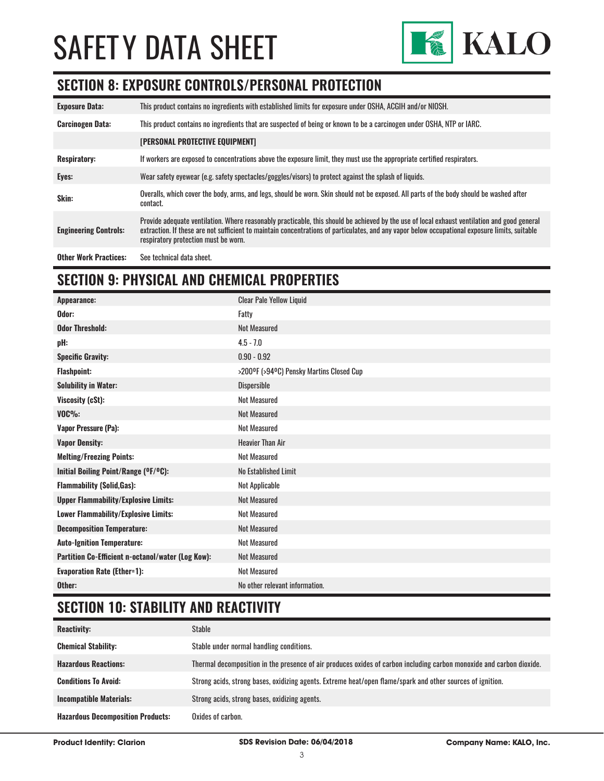

# **SECTION 8: EXPOSURE CONTROLS/PERSONAL PROTECTION**

| <b>Exposure Data:</b>        | This product contains no ingredients with established limits for exposure under OSHA, ACGIH and/or NIOSH.                                                                                                                                                                                                                              |
|------------------------------|----------------------------------------------------------------------------------------------------------------------------------------------------------------------------------------------------------------------------------------------------------------------------------------------------------------------------------------|
| <b>Carcinogen Data:</b>      | This product contains no ingredients that are suspected of being or known to be a carcinogen under OSHA, NTP or IARC.                                                                                                                                                                                                                  |
|                              | [PERSONAL PROTECTIVE EQUIPMENT]                                                                                                                                                                                                                                                                                                        |
| <b>Respiratory:</b>          | If workers are exposed to concentrations above the exposure limit, they must use the appropriate certified respirators.                                                                                                                                                                                                                |
| Eyes:                        | Wear safety eyewear (e.g. safety spectacles/goggles/visors) to protect against the splash of liquids.                                                                                                                                                                                                                                  |
| Skin:                        | Overalls, which cover the body, arms, and legs, should be worn. Skin should not be exposed. All parts of the body should be washed after<br>contact.                                                                                                                                                                                   |
| <b>Engineering Controls:</b> | Provide adequate ventilation. Where reasonably practicable, this should be achieved by the use of local exhaust ventilation and good general<br>extraction. If these are not sufficient to maintain concentrations of particulates, and any vapor below occupational exposure limits, suitable<br>respiratory protection must be worn. |
| <b>Other Work Practices:</b> | See technical data sheet.                                                                                                                                                                                                                                                                                                              |

# **SECTION 9: PHYSICAL AND CHEMICAL PROPERTIES**

| Appearance:                                       | <b>Clear Pale Yellow Liquid</b>          |
|---------------------------------------------------|------------------------------------------|
| Odor:                                             | Fatty                                    |
| <b>Odor Threshold:</b>                            | <b>Not Measured</b>                      |
| pH:                                               | $4.5 - 7.0$                              |
| <b>Specific Gravity:</b>                          | $0.90 - 0.92$                            |
| <b>Flashpoint:</b>                                | >200°F (>94°C) Pensky Martins Closed Cup |
| <b>Solubility in Water:</b>                       | <b>Dispersible</b>                       |
| Viscosity (cSt):                                  | <b>Not Measured</b>                      |
| $VOC\%$ :                                         | <b>Not Measured</b>                      |
| <b>Vapor Pressure (Pa):</b>                       | Not Measured                             |
| <b>Vapor Density:</b>                             | <b>Heavier Than Air</b>                  |
| <b>Melting/Freezing Points:</b>                   | <b>Not Measured</b>                      |
| Initial Boiling Point/Range (OF/OC):              | No Established Limit                     |
| <b>Flammability (Solid, Gas):</b>                 | Not Applicable                           |
| <b>Upper Flammability/Explosive Limits:</b>       | <b>Not Measured</b>                      |
| Lower Flammability/Explosive Limits:              | <b>Not Measured</b>                      |
| <b>Decomposition Temperature:</b>                 | <b>Not Measured</b>                      |
| <b>Auto-Ignition Temperature:</b>                 | <b>Not Measured</b>                      |
| Partition Co-Efficient n-octanol/water (Log Kow): | Not Measured                             |
| <b>Evaporation Rate (Ether=1):</b>                | <b>Not Measured</b>                      |
| Other:                                            | No other relevant information.           |

# **SECTION 10: STABILITY AND REACTIVITY**

| <b>Reactivity:</b>                       | <b>Stable</b>                                                                                                        |
|------------------------------------------|----------------------------------------------------------------------------------------------------------------------|
| <b>Chemical Stability:</b>               | Stable under normal handling conditions.                                                                             |
| <b>Hazardous Reactions:</b>              | Thermal decomposition in the presence of air produces oxides of carbon including carbon monoxide and carbon dioxide. |
| <b>Conditions To Avoid:</b>              | Strong acids, strong bases, oxidizing agents. Extreme heat/open flame/spark and other sources of ignition.           |
| <b>Incompatible Materials:</b>           | Strong acids, strong bases, oxidizing agents.                                                                        |
| <b>Hazardous Decomposition Products:</b> | Oxides of carbon.                                                                                                    |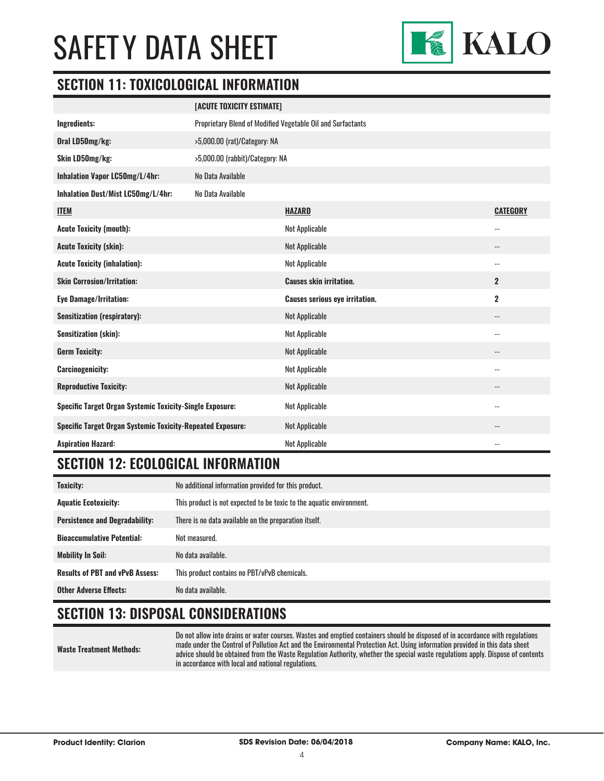

# **SECTION 11: TOXICOLOGICAL INFORMATION**

|                                                                   | [ACUTE TOXICITY ESTIMATE]                                   |                                       |                          |
|-------------------------------------------------------------------|-------------------------------------------------------------|---------------------------------------|--------------------------|
| Ingredients:                                                      | Proprietary Blend of Modified Vegetable Oil and Surfactants |                                       |                          |
| Oral LD50mg/kg:                                                   | >5,000.00 (rat)/Category: NA                                |                                       |                          |
| Skin LD50mg/kg:                                                   | >5,000.00 (rabbit)/Category: NA                             |                                       |                          |
| Inhalation Vapor LC50mg/L/4hr:                                    | No Data Available                                           |                                       |                          |
| Inhalation Dust/Mist LC50mg/L/4hr:                                | No Data Available                                           |                                       |                          |
| <b>ITEM</b>                                                       |                                                             | HAZARD                                | <b>CATEGORY</b>          |
| <b>Acute Toxicity (mouth):</b>                                    |                                                             | <b>Not Applicable</b>                 | $-$                      |
| <b>Acute Toxicity (skin):</b>                                     |                                                             | <b>Not Applicable</b>                 | --                       |
| <b>Acute Toxicity (inhalation):</b>                               |                                                             | <b>Not Applicable</b>                 | $\overline{\phantom{a}}$ |
| <b>Skin Corrosion/Irritation:</b>                                 |                                                             | <b>Causes skin irritation.</b>        | $\overline{2}$           |
| <b>Eye Damage/Irritation:</b>                                     |                                                             | <b>Causes serious eye irritation.</b> | $\overline{\mathbf{2}}$  |
| <b>Sensitization (respiratory):</b>                               |                                                             | <b>Not Applicable</b>                 | $-$                      |
| <b>Sensitization (skin):</b>                                      |                                                             | <b>Not Applicable</b>                 | $-$                      |
| <b>Germ Toxicity:</b>                                             |                                                             | <b>Not Applicable</b>                 | $\overline{\phantom{a}}$ |
| <b>Carcinogenicity:</b>                                           |                                                             | <b>Not Applicable</b>                 | $-$                      |
| <b>Reproductive Toxicity:</b>                                     |                                                             | <b>Not Applicable</b>                 | $-$                      |
| <b>Specific Target Organ Systemic Toxicity-Single Exposure:</b>   |                                                             | Not Applicable                        | $\overline{\phantom{a}}$ |
| <b>Specific Target Organ Systemic Toxicity-Repeated Exposure:</b> |                                                             | <b>Not Applicable</b>                 | --                       |
| <b>Aspiration Hazard:</b>                                         |                                                             | <b>Not Applicable</b>                 | $-$                      |

# **SECTION 12: ECOLOGICAL INFORMATION**

| <b>Toxicity:</b>                       | No additional information provided for this product.                 |
|----------------------------------------|----------------------------------------------------------------------|
| <b>Aquatic Ecotoxicity:</b>            | This product is not expected to be toxic to the aquatic environment. |
| <b>Persistence and Degradability:</b>  | There is no data available on the preparation itself.                |
| <b>Bioaccumulative Potential:</b>      | Not measured.                                                        |
| <b>Mobility In Soil:</b>               | No data available.                                                   |
| <b>Results of PBT and vPvB Assess:</b> | This product contains no PBT/vPvB chemicals.                         |
| <b>Other Adverse Effects:</b>          | No data available.                                                   |

# **SECTION 13: DISPOSAL CONSIDERATIONS**

**Waste Treatment Methods:**

Do not allow into drains or water courses. Wastes and emptied containers should be disposed of in accordance with regulations made under the Control of Pollution Act and the Environmental Protection Act. Using information provided in this data sheet advice should be obtained from the Waste Regulation Authority, whether the special waste regulations apply. Dispose of contents in accordance with local and national regulations.